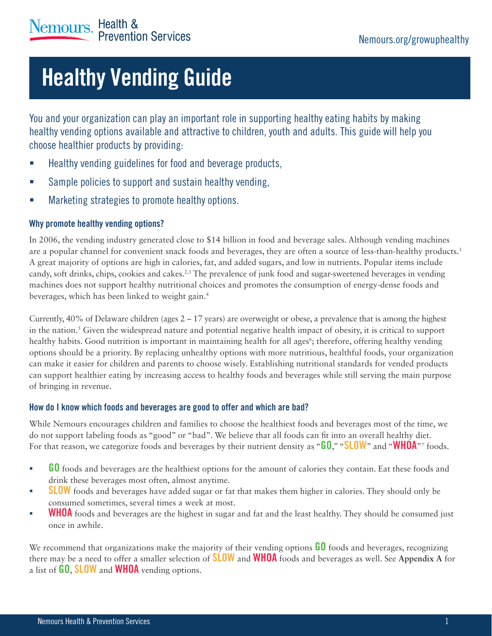# **Healthy Vending Guide**

You and your organization can play an important role in supporting healthy eating habits by making healthy vending options available and attractive to children, youth and adults. This guide will help you choose healthier products by providing:

- Healthy vending guidelines for food and beverage products,
- **Sample policies to support and sustain healthy vending,**
- **EXECUTE:** Marketing strategies to promote healthy options.

### Why promote healthy vending options?

In 2006, the vending industry generated close to \$14 billion in food and beverage sales. Although vending machines are a popular channel for convenient snack foods and beverages, they are often a source of less-than-healthy products.1 A great majority of options are high in calories, fat, and added sugars, and low in nutrients. Popular items include candy, soft drinks, chips, cookies and cakes.<sup>2,3</sup> The prevalence of junk food and sugar-sweetened beverages in vending machines does not support healthy nutritional choices and promotes the consumption of energy-dense foods and beverages, which has been linked to weight gain.4

Currently,  $40\%$  of Delaware children (ages  $2 - 17$  years) are overweight or obese, a prevalence that is among the highest in the nation.5 Given the widespread nature and potential negative health impact of obesity, it is critical to support healthy habits. Good nutrition is important in maintaining health for all ages<sup>6</sup>; therefore, offering healthy vending options should be a priority. By replacing unhealthy options with more nutritious, healthful foods, your organization can make it easier for children and parents to choose wisely. Establishing nutritional standards for vended products can support healthier eating by increasing access to healthy foods and beverages while still serving the main purpose of bringing in revenue.

### How do I know which foods and beverages are good to offer and which are bad?

While Nemours encourages children and families to choose the healthiest foods and beverages most of the time, we do not support labeling foods as "good" or "bad". We believe that all foods can fit into an overall healthy diet. For that reason, we categorize foods and beverages by their nutrient density as "**GO**," "SLOW" and "WHOA"<sup>7</sup> foods.

- $\blacksquare$  GO foods and beverages are the healthiest options for the amount of calories they contain. Eat these foods and drink these beverages most often, almost anytime.
- **SLOW** foods and beverages have added sugar or fat that makes them higher in calories. They should only be consumed sometimes, several times a week at most.
- **WHOA** foods and beverages are the highest in sugar and fat and the least healthy. They should be consumed just once in awhile.

We recommend that organizations make the majority of their vending options **GO** foods and beverages, recognizing there may be a need to offer a smaller selection of SLOW and WHOA foods and beverages as well. See **Appendix A** for a list of **GO, SLOW** and **WHOA** vending options.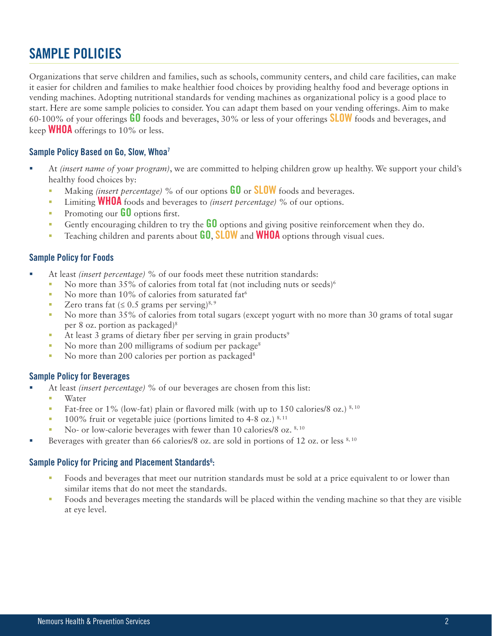### SAMPLE POLICIES

Organizations that serve children and families, such as schools, community centers, and child care facilities, can make it easier for children and families to make healthier food choices by providing healthy food and beverage options in vending machines. Adopting nutritional standards for vending machines as organizational policy is a good place to start. Here are some sample policies to consider. You can adapt them based on your vending offerings. Aim to make 60-100% of your offerings  $60$  foods and beverages, 30% or less of your offerings **SLOW** foods and beverages, and keep **WHOA** offerings to 10% or less.

### Sample Policy Based on Go, Slow, Whoa<sup>7</sup>

- At *(insert name of your program)*, we are committed to helping children grow up healthy. We support your child's healthy food choices by:
	- Making *(insert percentage)* % of our options GO or SLOW foods and beverages.
	- Limiting WHOA foods and beverages to *(insert percentage)* % of our options.
	- **Promoting our**  $\mathbf{G0}$  **options first.**
	- Gently encouraging children to try the  $\overline{60}$  options and giving positive reinforcement when they do.
	- **Teaching children and parents about**  $G_0$ **, SLOW and WHOA** options through visual cues.

### Sample Policy for Foods

- At least *(insert percentage)* % of our foods meet these nutrition standards:
	- No more than 35% of calories from total fat (not including nuts or seeds)<sup>6</sup>
	- No more than  $10\%$  of calories from saturated fat<sup>6</sup>
	- Zero trans fat  $(≤ 0.5$  grams per serving)<sup>8, 9</sup>
	- No more than 35% of calories from total sugars (except yogurt with no more than 30 grams of total sugar per 8 oz. portion as packaged)8
	- At least 3 grams of dietary fiber per serving in grain products<sup>9</sup>
	- No more than 200 milligrams of sodium per package<sup>8</sup>
	- No more than 200 calories per portion as packaged<sup>8</sup>

### Sample Policy for Beverages

- At least *(insert percentage)* % of our beverages are chosen from this list:
	- Water
	- **Fat-free or 1% (low-fat) plain or flavored milk (with up to 150 calories/8 oz.)**  $8,10$
	- $\blacksquare$  100% fruit or vegetable juice (portions limited to 4-8 oz.) 8, 11
	- No- or low-calorie beverages with fewer than 10 calories/8 oz.  $8,10$
- Beverages with greater than 66 calories/8 oz. are sold in portions of 12 oz. or less  $8,10$

### Sample Policy for Pricing and Placement Standards<sup>6</sup>:

- Foods and beverages that meet our nutrition standards must be sold at a price equivalent to or lower than similar items that do not meet the standards.
- Foods and beverages meeting the standards will be placed within the vending machine so that they are visible at eye level.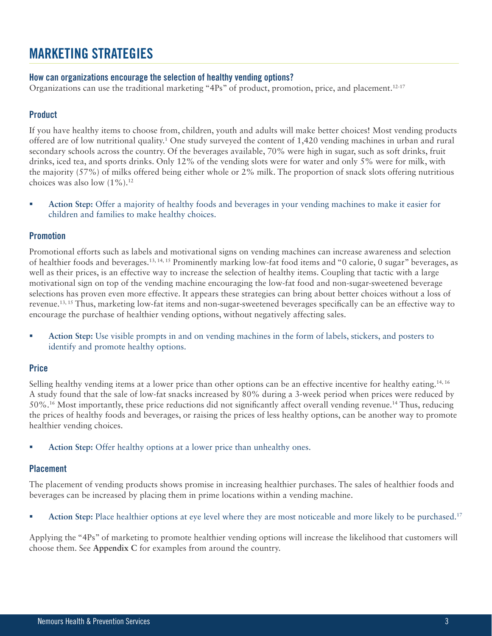### MARKETING STRATEGIES

### How can organizations encourage the selection of healthy vending options?

Organizations can use the traditional marketing "4Ps" of product, promotion, price, and placement.<sup>12-17</sup>

### Product

If you have healthy items to choose from, children, youth and adults will make better choices! Most vending products offered are of low nutritional quality.1 One study surveyed the content of 1,420 vending machines in urban and rural secondary schools across the country. Of the beverages available, 70% were high in sugar, such as soft drinks, fruit drinks, iced tea, and sports drinks. Only 12% of the vending slots were for water and only 5% were for milk, with the majority (57%) of milks offered being either whole or 2% milk. The proportion of snack slots offering nutritious choices was also low  $(1\%)$ .<sup>12</sup>

 **Action Step:** Offer a majority of healthy foods and beverages in your vending machines to make it easier for children and families to make healthy choices.

### Promotion

Promotional efforts such as labels and motivational signs on vending machines can increase awareness and selection of healthier foods and beverages.13, 14, 15 Prominently marking low-fat food items and "0 calorie, 0 sugar" beverages, as well as their prices, is an effective way to increase the selection of healthy items. Coupling that tactic with a large motivational sign on top of the vending machine encouraging the low-fat food and non-sugar-sweetened beverage selections has proven even more effective. It appears these strategies can bring about better choices without a loss of revenue.<sup>13, 15</sup> Thus, marketing low-fat items and non-sugar-sweetened beverages specifically can be an effective way to encourage the purchase of healthier vending options, without negatively affecting sales.

 **Action Step:** Use visible prompts in and on vending machines in the form of labels, stickers, and posters to identify and promote healthy options.

### **Price**

Selling healthy vending items at a lower price than other options can be an effective incentive for healthy eating.<sup>14, 16</sup> A study found that the sale of low-fat snacks increased by 80% during a 3-week period when prices were reduced by  $50\%$ .<sup>16</sup> Most importantly, these price reductions did not significantly affect overall vending revenue.<sup>14</sup> Thus, reducing the prices of healthy foods and beverages, or raising the prices of less healthy options, can be another way to promote healthier vending choices.

**Action Step:** Offer healthy options at a lower price than unhealthy ones.

### Placement

The placement of vending products shows promise in increasing healthier purchases. The sales of healthier foods and beverages can be increased by placing them in prime locations within a vending machine.

**Action Step:** Place healthier options at eye level where they are most noticeable and more likely to be purchased.<sup>17</sup>

Applying the "4Ps" of marketing to promote healthier vending options will increase the likelihood that customers will choose them. See **Appendix C** for examples from around the country.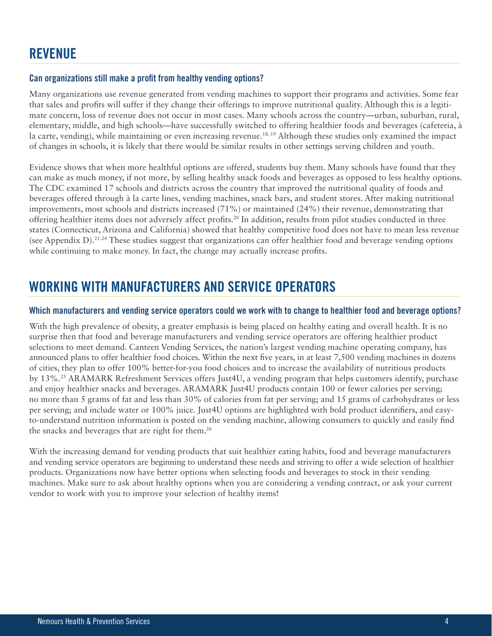### **REVENUE**

### Can organizations still make a profit from healthy vending options?

Many organizations use revenue generated from vending machines to support their programs and activities. Some fear that sales and profits will suffer if they change their offerings to improve nutritional quality. Although this is a legitimate concern, loss of revenue does not occur in most cases. Many schools across the country—urban, suburban, rural, elementary, middle, and high schools—have successfully switched to offering healthier foods and beverages (cafeteria, à la carte, vending), while maintaining or even increasing revenue.<sup>18, 19</sup> Although these studies only examined the impact of changes in schools, it is likely that there would be similar results in other settings serving children and youth.

Evidence shows that when more healthful options are offered, students buy them. Many schools have found that they can make as much money, if not more, by selling healthy snack foods and beverages as opposed to less healthy options. The CDC examined 17 schools and districts across the country that improved the nutritional quality of foods and beverages offered through à la carte lines, vending machines, snack bars, and student stores. After making nutritional improvements, most schools and districts increased (71%) or maintained (24%) their revenue, demonstrating that offering healthier items does not adversely affect profits.<sup>20</sup> In addition, results from pilot studies conducted in three states (Connecticut, Arizona and California) showed that healthy competitive food does not have to mean less revenue (see Appendix D).<sup>21-24</sup> These studies suggest that organizations can offer healthier food and beverage vending options while continuing to make money. In fact, the change may actually increase profits.

### WORKING WITH MANUFACTURERS AND SERVICE OPERATORS

### Which manufacturers and vending service operators could we work with to change to healthier food and beverage options?

With the high prevalence of obesity, a greater emphasis is being placed on healthy eating and overall health. It is no surprise then that food and beverage manufacturers and vending service operators are offering healthier product selections to meet demand. Canteen Vending Services, the nation's largest vending machine operating company, has announced plans to offer healthier food choices. Within the next five years, in at least 7,500 vending machines in dozens of cities, they plan to offer 100% better-for-you food choices and to increase the availability of nutritious products by 13%.25 ARAMARK Refreshment Services offers Just4U, a vending program that helps customers identify, purchase and enjoy healthier snacks and beverages. ARAMARK Just4U products contain 100 or fewer calories per serving; no more than 5 grams of fat and less than 30% of calories from fat per serving; and 15 grams of carbohydrates or less per serving; and include water or 100% juice. Just4U options are highlighted with bold product identifiers, and easyto-understand nutrition information is posted on the vending machine, allowing consumers to quickly and easily find the snacks and beverages that are right for them.<sup>26</sup>

With the increasing demand for vending products that suit healthier eating habits, food and beverage manufacturers and vending service operators are beginning to understand these needs and striving to offer a wide selection of healthier products. Organizations now have better options when selecting foods and beverages to stock in their vending machines. Make sure to ask about healthy options when you are considering a vending contract, or ask your current vendor to work with you to improve your selection of healthy items!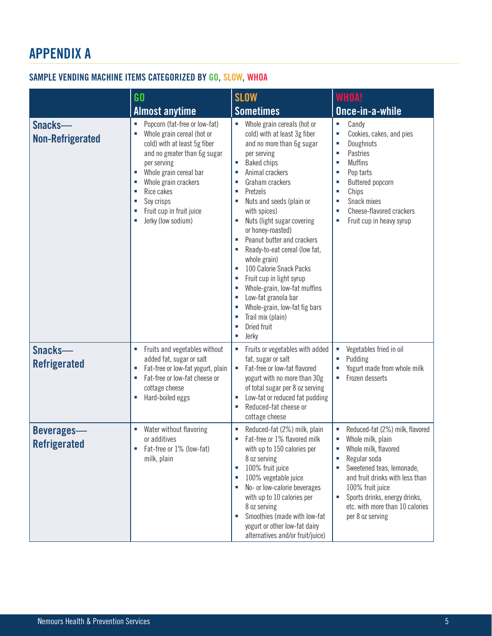# APPENDIX A

### SAMPLE VENDING MACHINE ITEMS CATEGORIZED BY GO, SLOW, WHOA

|                                          | $G$<br><b>Almost anytime</b>                                                                                                                                                                                                                                                                                              | <b>SLOW</b><br><b>Sometimes</b>                                                                                                                                                                                                                                                                                                                                                                                                                                                                                                                                                                                                                | <b>WHOA!</b><br>Once-in-a-while                                                                                                                                                                                                                                          |
|------------------------------------------|---------------------------------------------------------------------------------------------------------------------------------------------------------------------------------------------------------------------------------------------------------------------------------------------------------------------------|------------------------------------------------------------------------------------------------------------------------------------------------------------------------------------------------------------------------------------------------------------------------------------------------------------------------------------------------------------------------------------------------------------------------------------------------------------------------------------------------------------------------------------------------------------------------------------------------------------------------------------------------|--------------------------------------------------------------------------------------------------------------------------------------------------------------------------------------------------------------------------------------------------------------------------|
| Snacks-<br><b>Non-Refrigerated</b>       | Popcorn (fat-free or low-fat)<br>×<br>Whole grain cereal (hot or<br>Ì,<br>cold) with at least 5g fiber<br>and no greater than 6g sugar<br>per serving<br>Whole grain cereal bar<br>Ì.<br>Whole grain crackers<br>I.<br>Rice cakes<br>Ì.<br>Soy crisps<br>Ī.<br>Fruit cup in fruit juice<br>Ī.<br>Jerky (low sodium)<br>I. | • Whole grain cereals (hot or<br>cold) with at least 3g fiber<br>and no more than 6g sugar<br>per serving<br><b>Baked chips</b><br>a,<br>Animal crackers<br>I.<br>Graham crackers<br>п<br>Pretzels<br>×<br>Nuts and seeds (plain or<br>×<br>with spices)<br>Nuts (light sugar covering<br>×<br>or honey-roasted)<br>Peanut butter and crackers<br>×<br>Ready-to-eat cereal (low fat,<br>×<br>whole grain)<br>100 Calorie Snack Packs<br>×<br>Fruit cup in light syrup<br>×.<br>Whole-grain, low-fat muffins<br>×<br>Low-fat granola bar<br>×<br>Whole-grain, low-fat fig bars<br>п<br>Trail mix (plain)<br>п<br>Dried fruit<br>×<br>Jerky<br>× | Candy<br>×<br>Cookies, cakes, and pies<br>×<br>Doughnuts<br>×<br>Pastries<br>×<br><b>Muffins</b><br>×<br>Pop tarts<br>п<br>Buttered popcorn<br>Chips<br>×<br>Snack mixes<br>×<br>Cheese-flavored crackers<br>×<br>Fruit cup in heavy syrup<br>п                          |
| Snacks-<br><b>Refrigerated</b>           | Fruits and vegetables without<br>added fat, sugar or salt<br>Fat-free or low-fat yogurt, plain<br>r<br>Fat-free or low-fat cheese or<br>п<br>cottage cheese<br>Hard-boiled eggs<br>٠                                                                                                                                      | Fruits or vegetables with added<br>ш<br>fat, sugar or salt<br>Fat-free or low-fat flavored<br>×<br>yogurt with no more than 30g<br>of total sugar per 8 oz serving<br>Low-fat or reduced fat pudding<br>×<br>Reduced-fat cheese or<br>×<br>cottage cheese                                                                                                                                                                                                                                                                                                                                                                                      | Vegetables fried in oil<br>Pudding<br>Yogurt made from whole milk<br>Frozen desserts                                                                                                                                                                                     |
| <b>Beverages-</b><br><b>Refrigerated</b> | Water without flavoring<br>or additives<br>Fat-free or 1% (low-fat)<br>milk, plain                                                                                                                                                                                                                                        | Reduced-fat (2%) milk, plain<br>I.<br>Fat-free or 1% flavored milk<br>with up to 150 calories per<br>8 oz serving<br>100% fruit juice<br>×<br>100% vegetable juice<br>×.<br>No- or low-calorie beverages<br>×<br>with up to 10 calories per<br>8 oz serving<br>Smoothies (made with low-fat<br>ш<br>yogurt or other low-fat dairy<br>alternatives and/or fruit/juice)                                                                                                                                                                                                                                                                          | Reduced-fat (2%) milk, flavored<br>Whole milk, plain<br>Whole milk, flavored<br>Regular soda<br>Sweetened teas, lemonade,<br>and fruit drinks with less than<br>100% fruit juice<br>Sports drinks, energy drinks,<br>etc. with more than 10 calories<br>per 8 oz serving |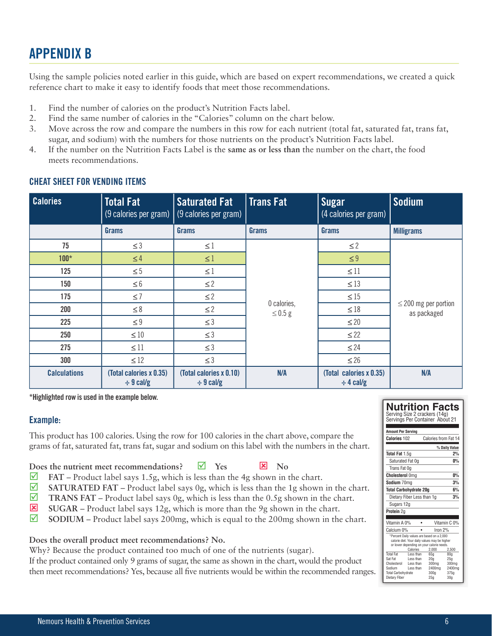## APPENDIX B

Using the sample policies noted earlier in this guide, which are based on expert recommendations, we created a quick reference chart to make it easy to identify foods that meet those recommendations.

- 1. Find the number of calories on the product's Nutrition Facts label.
- 2. Find the same number of calories in the "Calories" column on the chart below.
- 3. Move across the row and compare the numbers in this row for each nutrient (total fat, saturated fat, trans fat, sugar, and sodium) with the numbers for those nutrients on the product's Nutrition Facts label.
- 4. If the number on the Nutrition Facts Label is the **same as or less than** the number on the chart, the food meets recommendations.

| <b>Calories</b>     | <b>Total Fat</b>                          | <b>Saturated Fat</b><br>$(9 \text{ calories per gram})$ (9 calories per gram) | Trans Fat                   | <b>Sugar</b><br>(4 calories per gram)     | <b>Sodium</b>                            |
|---------------------|-------------------------------------------|-------------------------------------------------------------------------------|-----------------------------|-------------------------------------------|------------------------------------------|
|                     | Grams                                     | Grams                                                                         | Grams                       | Grams                                     | <b>Milligrams</b>                        |
| 75                  | $\leq$ 3                                  | $\leq$ 1                                                                      |                             | $\leq$ 2                                  |                                          |
| $100*$              | $\leq 4$                                  | $\leq$ 1                                                                      |                             | $\leq 9$                                  |                                          |
| 125                 | $\leq 5$                                  | $\leq 1$                                                                      |                             | $\leq$ 11                                 |                                          |
| 150                 | $\leq 6$                                  | $\leq$ 2                                                                      |                             | $\leq 13$                                 |                                          |
| 175                 | $\leq 7$                                  | $\leq$ 2                                                                      |                             | $\leq 15$                                 |                                          |
| 200                 | $\leq 8$                                  | $\leq$ 2                                                                      | 0 calories,<br>$\leq$ 0.5 g | $\leq 18$                                 | $\leq$ 200 mg per portion<br>as packaged |
| 225                 | $\leq 9$                                  | $\leq$ 3                                                                      |                             | $\leq$ 20                                 |                                          |
| 250                 | $\leq 10$                                 | $\leq$ 3                                                                      |                             | $\leq$ 22                                 |                                          |
| 275                 | $\leq 11$                                 | $\leq$ 3                                                                      |                             | $\leq$ 24                                 |                                          |
| 300                 | $\leq 12$                                 | $\leq$ 3                                                                      |                             | $\leq 26$                                 |                                          |
| <b>Calculations</b> | (Total calories x 0.35)<br>$\div$ 9 cal/g | (Total calories x 0.10)<br>$\div$ 9 cal/g                                     | N/A                         | (Total calories x 0.35)<br>$\div$ 4 cal/g | N/A                                      |

### CHEAT SHEET FOR VENDING ITEMS

**\*Highlighted row is used in the example below.**

### Example:

This product has 100 calories. Using the row for 100 calories in the chart above, compare the grams of fat, saturated fat, trans fat, sugar and sodium on this label with the numbers in the chart.

### **Does the nutrient meet recommendations?**  $\blacksquare$  Yes  $\blacksquare$  No

- **FAT** Product label says 1.5g, which is less than the 4g shown in the chart.
- $\blacksquare$  SATURATED FAT Product label says 0g, which is less than the 1g shown in the chart.
- **TRANS FAT** Product label says 0g, which is less than the 0.5g shown in the chart.
- $\overline{\mathbf{x}}$  **SUGAR** Product label says 12g, which is more than the 9g shown in the chart.
- $\Box$  SODIUM Product label says 200mg, which is equal to the 200mg shown in the chart.

### **Does the overall product meet recommendations? No.**

Why? Because the product contained too much of one of the nutrients (sugar).

If the product contained only 9 grams of sugar, the same as shown in the chart, would the product then meet recommendations? Yes, because all five nutrients would be within the recommended ranges.

### **Nutrition Facts**

Serving Size 2 crackers (14g) Servings Per Container About 21 **Amount Per Serving Calories** 102 Calories from Fat 14 **% Daily Value Total Fat** 1.5g **2% Saturated Fat 0g 0%**  Trans Fat 0g **Cholesterol** 0mg **0% Sodium** 70mg **3% Total Carbohydrate 20g 6%** Dietary Fiber Less than 1g **3%** Sugars 12g **Protein** 2g Vitamin A 0% • Vitamin C 0% Calcium 0% • Iron 2% \*Percent Daily values are based on a 2,000 calorie diet. Your daily values may be higher or lower depending on your calorie needs. Calories 2,000 2,500 Total Fat Less than 65g 80g<br>Sat Fat Less than 20g 25g Sat Fat Less than 20g 25g Cholesterol Less than 300mg 300mg Sodium Less than 2400mg 2400mg Social Carbohydrate 3000mg 3000mg<br>Total Carbohydrate 3000g 375g<br>Dietary Fiber 25g 30g Dietary Fiber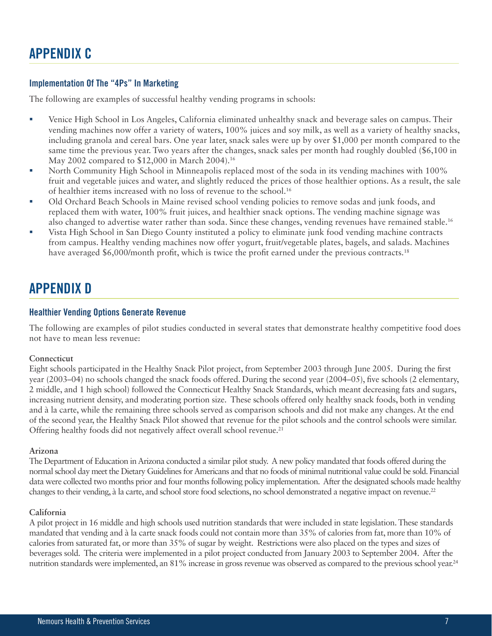### Implementation Of The "4Ps" In Marketing

The following are examples of successful healthy vending programs in schools:

- Venice High School in Los Angeles, California eliminated unhealthy snack and beverage sales on campus. Their vending machines now offer a variety of waters, 100% juices and soy milk, as well as a variety of healthy snacks, including granola and cereal bars. One year later, snack sales were up by over \$1,000 per month compared to the same time the previous year. Two years after the changes, snack sales per month had roughly doubled (\$6,100 in May 2002 compared to \$12,000 in March 2004).<sup>16</sup>
- North Community High School in Minneapolis replaced most of the soda in its vending machines with 100% fruit and vegetable juices and water, and slightly reduced the prices of those healthier options. As a result, the sale of healthier items increased with no loss of revenue to the school.16
- Old Orchard Beach Schools in Maine revised school vending policies to remove sodas and junk foods, and replaced them with water, 100% fruit juices, and healthier snack options. The vending machine signage was also changed to advertise water rather than soda. Since these changes, vending revenues have remained stable.16
- Vista High School in San Diego County instituted a policy to eliminate junk food vending machine contracts from campus. Healthy vending machines now offer yogurt, fruit/vegetable plates, bagels, and salads. Machines have averaged  $$6,000/m$  onth profit, which is twice the profit earned under the previous contracts.<sup>18</sup>

### APPENDIX D

#### Healthier Vending Options Generate Revenue

The following are examples of pilot studies conducted in several states that demonstrate healthy competitive food does not have to mean less revenue:

#### **Connecticut**

Eight schools participated in the Healthy Snack Pilot project, from September 2003 through June 2005. During the first year (2003–04) no schools changed the snack foods offered. During the second year (2004–05), five schools (2 elementary, 2 middle, and 1 high school) followed the Connecticut Healthy Snack Standards, which meant decreasing fats and sugars, increasing nutrient density, and moderating portion size. These schools offered only healthy snack foods, both in vending and à la carte, while the remaining three schools served as comparison schools and did not make any changes. At the end of the second year, the Healthy Snack Pilot showed that revenue for the pilot schools and the control schools were similar. Offering healthy foods did not negatively affect overall school revenue.<sup>21</sup>

#### **Arizona**

The Department of Education in Arizona conducted a similar pilot study. A new policy mandated that foods offered during the normal school day meet the Dietary Guidelines for Americans and that no foods of minimal nutritional value could be sold. Financial data were collected two months prior and four months following policy implementation. After the designated schools made healthy changes to their vending, à la carte, and school store food selections, no school demonstrated a negative impact on revenue.<sup>22</sup>

#### **California**

A pilot project in 16 middle and high schools used nutrition standards that were included in state legislation. These standards mandated that vending and à la carte snack foods could not contain more than 35% of calories from fat, more than 10% of calories from saturated fat, or more than 35% of sugar by weight. Restrictions were also placed on the types and sizes of beverages sold. The criteria were implemented in a pilot project conducted from January 2003 to September 2004. After the nutrition standards were implemented, an 81% increase in gross revenue was observed as compared to the previous school year.<sup>24</sup>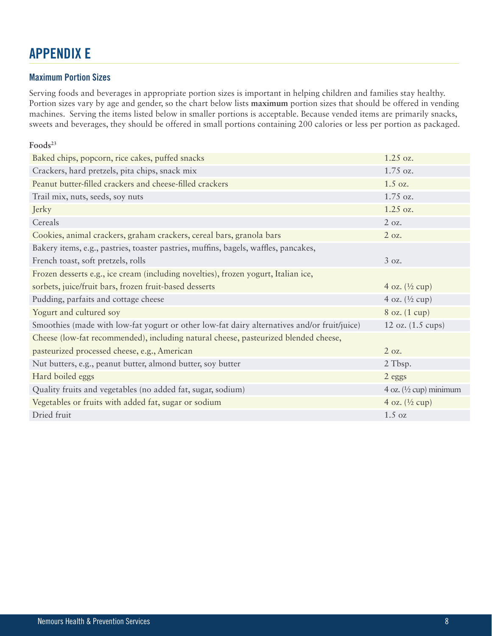### APPENDIX E

### Maximum Portion Sizes

Serving foods and beverages in appropriate portion sizes is important in helping children and families stay healthy. Portion sizes vary by age and gender, so the chart below lists **maximum** portion sizes that should be offered in vending machines. Serving the items listed below in smaller portions is acceptable. Because vended items are primarily snacks, sweets and beverages, they should be offered in small portions containing 200 calories or less per portion as packaged.

| Foods <sup>23</sup>                                                                         |                                   |
|---------------------------------------------------------------------------------------------|-----------------------------------|
| Baked chips, popcorn, rice cakes, puffed snacks                                             | 1.25 oz.                          |
| Crackers, hard pretzels, pita chips, snack mix                                              | 1.75 oz.                          |
| Peanut butter-filled crackers and cheese-filled crackers                                    | $1.5$ oz.                         |
| Trail mix, nuts, seeds, soy nuts                                                            | 1.75 oz.                          |
| Jerky                                                                                       | 1.25 oz.                          |
| Cereals                                                                                     | 2 oz.                             |
| Cookies, animal crackers, graham crackers, cereal bars, granola bars                        | 2 oz.                             |
| Bakery items, e.g., pastries, toaster pastries, muffins, bagels, waffles, pancakes,         |                                   |
| French toast, soft pretzels, rolls                                                          | 3 oz.                             |
| Frozen desserts e.g., ice cream (including novelties), frozen yogurt, Italian ice,          |                                   |
| sorbets, juice/fruit bars, frozen fruit-based desserts                                      | 4 oz. $(\frac{1}{2}$ cup)         |
| Pudding, parfaits and cottage cheese                                                        | 4 oz. $(\frac{1}{2}$ cup)         |
| Yogurt and cultured soy                                                                     | 8 oz. (1 cup)                     |
| Smoothies (made with low-fat yogurt or other low-fat dairy alternatives and/or fruit/juice) | 12 oz. $(1.5 \text{ cups})$       |
| Cheese (low-fat recommended), including natural cheese, pasteurized blended cheese,         |                                   |
| pasteurized processed cheese, e.g., American                                                | 2 oz.                             |
| Nut butters, e.g., peanut butter, almond butter, soy butter                                 | 2 Tbsp.                           |
| Hard boiled eggs                                                                            | 2 eggs                            |
| Quality fruits and vegetables (no added fat, sugar, sodium)                                 | 4 oz. $(\frac{1}{2}$ cup) minimum |
| Vegetables or fruits with added fat, sugar or sodium                                        | 4 oz. $(\frac{1}{2}$ cup)         |
| Dried fruit                                                                                 | $1.5 \text{ oz}$                  |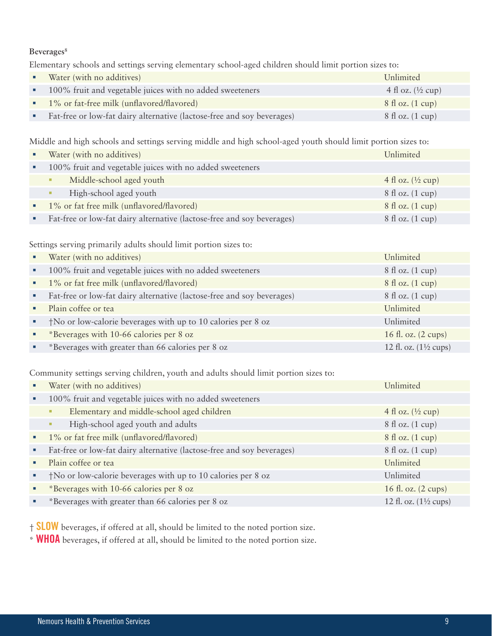### Beverages<sup>8</sup>

Elementary schools and settings serving elementary school-aged children should limit portion sizes to:

| Water (with no additives)                                              | Unlimited                          |
|------------------------------------------------------------------------|------------------------------------|
| 100% fruit and vegetable juices with no added sweeteners               | 4 fl oz. $(\frac{1}{2}$ cup)       |
| • 1% or fat-free milk (unflavored/flavored)                            | $8 \text{ fl oz.} (1 \text{ cup})$ |
| Fat-free or low-fat dairy alternative (lactose-free and soy beverages) | $8 \text{ fl oz.} (1 \text{ cup})$ |

Middle and high schools and settings serving middle and high school-aged youth should limit portion sizes to:

| Water (with no additives)                                              | Unlimited                          |
|------------------------------------------------------------------------|------------------------------------|
| 100% fruit and vegetable juices with no added sweeteners               |                                    |
| Middle-school aged youth<br>٠                                          | 4 fl oz. $(\frac{1}{2}$ cup)       |
| High-school aged youth<br>٠                                            | $8 \text{ fl oz.} (1 \text{ cup})$ |
| 1% or fat free milk (unflavored/flavored)                              | $8 \text{ fl oz.} (1 \text{ cup})$ |
| Fat-free or low-fat dairy alternative (lactose-free and soy beverages) | $8 \text{ fl oz.}$ (1 cup)         |

Settings serving primarily adults should limit portion sizes to:

|   | Water (with no additives)                                              | Unlimited                                |
|---|------------------------------------------------------------------------|------------------------------------------|
| ٠ | 100% fruit and vegetable juices with no added sweeteners               | $8 \text{ fl oz.}$ (1 cup)               |
|   | • 1% or fat free milk (unflavored/flavored)                            | $8 \text{ fl oz.}$ (1 cup)               |
| ٠ | Fat-free or low-fat dairy alternative (lactose-free and soy beverages) | 8 fl oz. (1 cup)                         |
|   | Plain coffee or tea                                                    | Unlimited                                |
|   | †No or low-calorie beverages with up to 10 calories per 8 oz           | Unlimited                                |
|   | *Beverages with 10-66 calories per 8 oz                                | 16 fl. oz. $(2 \text{ cups})$            |
|   | *Beverages with greater than 66 calories per 8 oz                      | 12 fl. oz. $(1\frac{1}{2} \text{ cups})$ |

Community settings serving children, youth and adults should limit portion sizes to:

|                | Water (with no additives)                                              | Unlimited                                |
|----------------|------------------------------------------------------------------------|------------------------------------------|
| ٠              | 100% fruit and vegetable juices with no added sweeteners               |                                          |
|                | Elementary and middle-school aged children<br>$\mathbf{u}$             | 4 fl oz. $(\frac{1}{2}$ cup)             |
|                | High-school aged youth and adults<br>and in                            | 8 fl oz. (1 cup)                         |
| $\blacksquare$ | 1% or fat free milk (unflavored/flavored)                              | $8 \text{ fl oz.}$ (1 cup)               |
| ٠              | Fat-free or low-fat dairy alternative (lactose-free and soy beverages) | $8 \text{ fl oz.}$ (1 cup)               |
|                | Plain coffee or tea                                                    | Unlimited                                |
|                | †No or low-calorie beverages with up to 10 calories per 8 oz           | Unlimited                                |
|                | *Beverages with 10-66 calories per 8 oz                                | 16 fl. oz. (2 cups)                      |
| ٠              | *Beverages with greater than 66 calories per 8 oz                      | 12 fl. oz. $(1\frac{1}{2} \text{ cups})$ |

† SLOW beverages, if offered at all, should be limited to the noted portion size.

\* WHOA beverages, if offered at all, should be limited to the noted portion size.